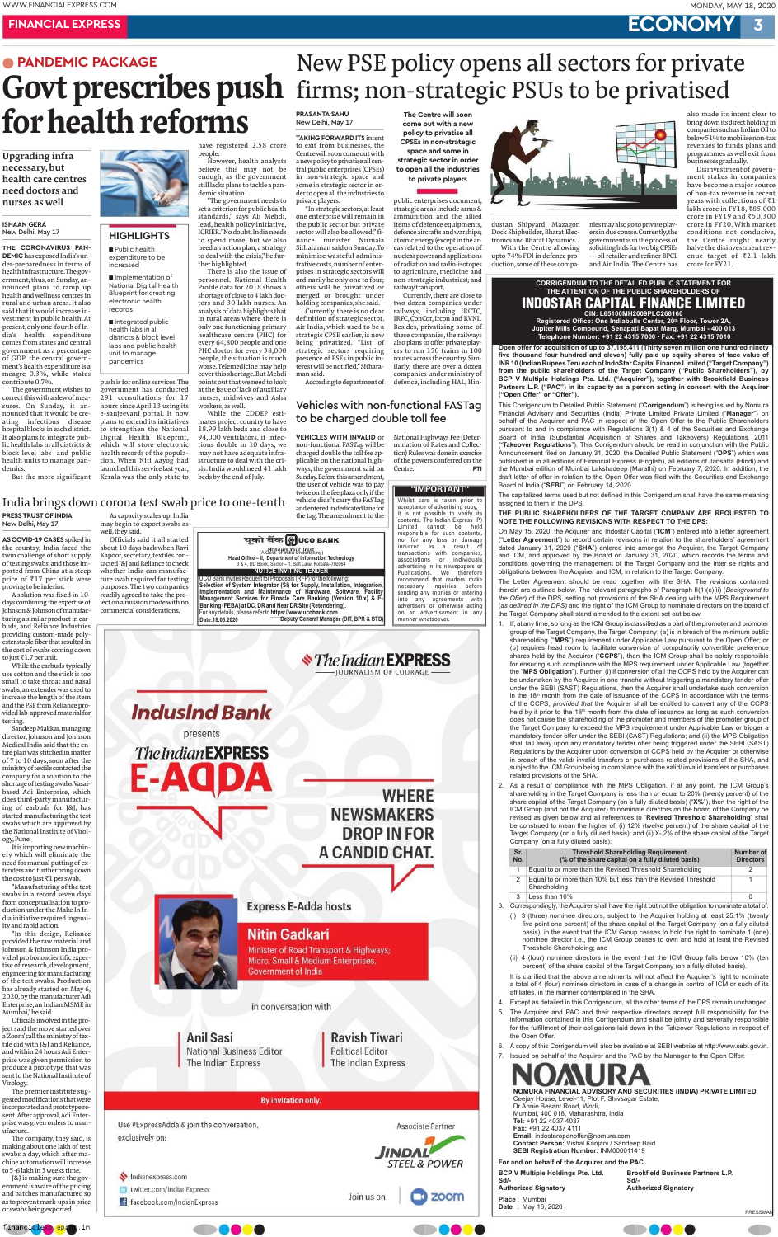## **MONDAY, MAY 18, 2020**

3

# **ECONOMY**

# **FINANCIAL EXPRESS • PANDEMIC PACKAGE**

# Govt prescribes push for health reforms

**Upgrading infra** necessary, but health care centres need doctors and nurses as well

### **ISHAAN GERA** New Delhi, May 17

THE CORONAVIRUS PAN-**DEMIC** has exposed India's under-preparedness in terms of health infrastructure. The government, thus, on Sunday, announced plans to ramp up health and wellness centres in rural and urban areas. It also said that it would increase investment in public health. At present, only one-fourth of India's health expenditure comes from states and central government. As a percentage of GDP, the central government's health expenditure is a meagre 0.3%, while states contribute 0.7%.

The government wishes to correct this with a slew of measures. On Sunday, it announced that it would be creating infectious disease hospital blocks in each district. It also plans to integrate public health labs in all districts  $\&$ block level labs and public health units to manage pantion. When Niti Aayog had demics. But the more significant Kerala was the only state to



# **HIGHLIGHTS**

Public health expenditure to be increased

Implementation of **National Digital Health** Blueprint for creating electronic health records

Integrated public health labs in all districts & block level labs and public health unit to manage pandemics

push is for online services. The government has conducted 291 consultations for 17 hours since April 13 using its e-sanjeevani portal. It now plans to extend its initiatives to strengthen the National Digital Health Blueprint, which will store electronic health records of the popula**PRASANTA SAHU** 

have registered 2.58 crore However, health analysts believe this may not be enough, as the government still lacks plans to tackle a pan-

demic situation. "The government needs to set a criterion for public health standards," says Ali Mehdi, lead, health policy initiative, ICRIER."No doubt, India needs to spend more, but we also need an action plan, a strategy to deal with the crisis," he further highlighted. There is also the issue of

people.

personnel. National Health Profile data for 2018 shows a shortage of close to 4 lakh doctors and 30 lakh nurses. An analysis of data highlights that in rural areas where there is only one functioning primary healthcare centre (PHC) for every 64,800 people and one PHC doctor for every 38,000 people, the situation is much worse. Telemedicine may help cover this shortage. But Mehdi points out that we need to look

at the issue of lack of auxiliary nurses, midwives and Asha workers, as well.

While the CDDEP estimates project country to have 18.99 lakh beds and close to 94,000 ventilators, if infections double in 10 days, we may not have adequate infrastructure to deal with the cri-

# New Delhi, May 17

**TAKING FORWARD ITS intent** to exit from businesses, the Centre will soon come out with a new policy to privatise all central public enterprises (CPSEs) in non-strategic space and some in strategic sector in order to open all the industries to private players.

"In strategic sectors, at least one enterprise will remain in the public sector but private sector will also be allowed," finance minister Nirmala Sitharaman said on Sunday. To minimise wasteful administrative costs, number of enterprises in strategic sectors will ordinarily be only one to four; others will be privatized or merged or brought under holding companies, she said.

Currently, there is no clear definition of strategic sector. Air India, which used to be a strategic CPSE earlier, is now being privatized. "List of strategic sectors requiring presence of PSEs in public interest will be notified," Sitharaman said.

According to department of

# **Vehicles with non-functional FASTag** to be charged double toll fee

Centre.

**VEHICLES WITH INVALID or** non-functional FASTag will be charged double the toll fee applicable on the national highways, the government said on

Sunday. Before this amendment,

the user of vehicle was to pay

twice on the fee plaza only if the

vehicle didn't carry the FASTag

and entered in dedicated lane for

the tag. The amendment to the

National Highways Fee (Determination of Rates and Collection) Rules was done in exercise of the powers conferred on the

'IMPORTANT"

Whilst care is taken prior to

it is not possible to verify its

contents. The Indian Express (P.)

acceptance of advertising copy,

PTI

The Centre will soon

come out with a new

policy to privatise all

**CPSEs in non-strategic** 

space and some in

strategic sector in order

to open all the industries

to private players

non-strategic industries); and

two dozen companies under

railways, including IRCTC,

IRFC, ConCor, Ircon and RVNL.

Besides, privatizing some of

these companies, the railways

also plans to offer private play-

ers to run 150 trains in 100

routes across the country. Sim-

ilarly, there are over a dozen

companies under ministry of

defence, including HAL, Hin-

Currently, there are close to

railway transport.



dustan Shipyard, Mazagon Dock Shipbuilder, Bharat Electronics and Bharat Dynamics.

New PSE policy opens all sectors for private<br>firms; non-strategic PSUs to be privatised

With the Centre allowing upto 74% FDI in defence production, some of these compa-

nies may also go to private players in due course. Currently, the government is in the process of soliciting bids for two big CPSEs ---oil retailer and refiner BPCL and Air India. The Centre has

also made its intent clear to bring down its direct holding in companies such as Indian Oil to below 51% to mobilise non-tax revenues to funds plans and programmes as well exit from businesses gradually.

Disinvestment of government stakes in companies have become a major source of non-tax revenue in recent years with collections of ₹1 lakh crore in FY18, ₹85,000 crore in FY19 and  $\overline{50,300}$ crore in FY20. With market conditions not conducive, the Centre might nearly halve the disinvestment revenue target of  $\overline{z}2.1$  lakh crore for FY21.

**CORRIGENDUM TO THE DETAILED PUBLIC STATEMENT FOR** THE ATTENTION OF THE PUBLIC SHAREHOLDERS OF **INDOSTAR CAPITAL FINANCE LIMITED** CIN: L65100MH2009PLC268160 Registered Office: One Indiabulls Center, 20<sup>th</sup> Floor, Tower 2A,

Jupiter Mills Compound, Senapati Bapat Marg, Mumbai - 400 013 Telephone Number: +91 22 4315 7000 · Fax: +91 22 4315 7010

Open offer for acquisition of up to 37,195,411 (Thirty seven million one hundred ninety five thousand four hundred and eleven) fully paid up equity shares of face value of INR 10 (Indian Rupees Ten) each of IndoStar Capital Finance Limited ("Target Company") from the public shareholders of the Target Company ("Public Shareholders"), by BCP V Multiple Holdings Pte. Ltd. ("Acquirer"), together with Brookfield Business Partners L.P. ("PAC") in its capacity as a person acting in concert with the Acquirer ("Open Offer" or "Offer").

This Corrigendum to Detailed Public Statement ("Corrigendum") is being issued by Nomura Financial Advisory and Securities (India) Private Limited Private Limited ("Manager") on behalf of the Acquirer and PAC in respect of the Open Offer to the Public Shareholders pursuant to and in compliance with Regulations 3(1) & 4 of the Securities and Exchange Board of India (Substantial Acquisition of Shares and Takeovers) Regulations, 2011 ("Takeover Regulations"). This Corrigendum should be read in conjunction with the Public Announcement filed on January 31, 2020, the Detailed Public Statement ("DPS") which was published in in all editions of Financial Express (English), all editions of Jansatta (Hindi) and the Mumbai edition of Mumbai Lakshadeep (Marathi) on February 7, 2020. In addition, the draft letter of offer in relation to the Open Offer was filed with the Securities and Exchange Board of India ("SEBI") on February 14, 2020.

strategic areas include arms & ammunition and the allied items of defence equipments, defence aircrafts and warships; atomic energy (except in the areas related to the operation of nuclear power and applications

of radiation and radio-isotopes to agriculture, medicine and

launched this service last year, sis. India would need 41 lakh beds by the end of July.

# India brings down corona test swab price to one-tenth

### PRESS TRUST OF INDIA New Delhi, May 17

AS COVID-19 CASES spiked in the country, India faced the twin challenge of short supply of testing swabs, and those imported from China at a steep price of  $\overline{\xi}$ 17 per stick were proving to be inferior.

A solution was fixed in 10days combining the expertise of Johnson & Johnson of manufacturing a similar product in earbuds, and Reliance Industries providing custom-made polyester staple fiber that resulted in the cost of swabs coming down to just ₹1.7 per unit.

While the earbuds typically use cotton and the stick is too small to take throat and nasal swabs, an extender was used to increase the length of the stem and the PSF from Reliance provided lab-approved material for testing.

Sandeep Makkar, managing director, Johnson and Johnson Medical India said that the entire plan was stitched in matter of 7 to 10 days, soon after the ministry of textile contacted the company for a solution to the shortage of testing swabs. Vasaibased Adi Enterprise, which does third-party manufacturing of earbuds for J&J, has started manufacturing the test swabs which are approved by the National Institute of Virology, Pune.

It is importing new machinery which will eliminate the need for manual putting of extenders and further bring down the cost to just  $\bar{\tau}1$  per swab.

"Manufacturing of the test swabs in a record seven days from conceptualisation to production under the Make In India initiative required ingenuity and rapid action.

"In this design, Reliance provided the raw material and Johnson & Johnson India provided pro bono scientific expertise of research, development, engineering for manufacturing of the test swabs. Production has already started on May 6, 2020, by the manufacturer Adi Enterprise, an Indian MSME in Mumbai," he said. Officials involved in the project said the move started over a'Zoom' call the ministry of textile did with J&J and Reliance, and within 24 hours Adi Enterprise was given permission to produce a prototype that was sent to the National Institute of Virology. The premier institute suggested modifications that were incorporated and prototype resent. After approval, Adi Enterprise was given orders to manufacture. The company, they said, is making about one lakh of test swabs a day, which after machine automation will increase to 5-6 lakh in 3 weeks time. [&] is making sure the government is aware of the pricing and batches manufactured so as to prevent mark-ups in price or swabs being exported.

As capacity scales up, India may begin to export swabs as well, they said.

Officials said it all started about 10 days back when Ravi Kapoor, secretary, textiles contacted J&J and Reliance to check whether India can manufacture swab required for testing purposes. The two companies readily agreed to take the project on a mission mode with no commercial considerations.



The capitalized terms used but not defined in this Corrigendum shall have the same meaning assigned to them in the DPS.

THE PUBLIC SHAREHOLDERS OF THE TARGET COMPANY ARE REQUESTED TO NOTE THE FOLLOWING REVISIONS WITH RESPECT TO THE DPS:

On May 15, 2020, the Acquirer and Indostar Capital ("ICM") entered into a letter agreement ("Letter Agreement") to record certain revisions in relation to the shareholders' agreement dated January 31, 2020 ("SHA") entered into amongst the Acquirer, the Target Company and ICM, and approved by the Board on January 31, 2020, which records the terms and conditions governing the management of the Target Company and the inter se rights and obligations between the Acquirer and ICM, in relation to the Target Company.

The Letter Agreement should be read together with the SHA. The revisions contained therein are outlined below. The relevant paragraphs of Paragraph II(1)(c)(ii) (Background to the Offer) of the DPS, setting out provisions of the SHA dealing with the MPS Requirement (as defined in the DPS) and the right of the ICM Group to nominate directors on the board of the Target Company shall stand amended to the extent set out below.

- 1. If, at any time, so long as the ICM Group is classified as a part of the promoter and promoter group of the Target Company, the Target Company: (a) is in breach of the minimum public shareholding ("MPS") requirement under Applicable Law pursuant to the Open Offer; or (b) requires head room to facilitate conversion of compulsorily convertible preference shares held by the Acquirer ("CCPS"), then the ICM Group shall be solely responsible for ensuring such compliance with the MPS requirement under Applicable Law (together the "MPS Obligation"). Further: (i) if conversion of all the CCPS held by the Acquirer can be undertaken by the Acquirer in one tranche without triggering a mandatory tender offer under the SEBI (SAST) Regulations, then the Acquirer shall undertake such conversion in the 18<sup>th</sup> month from the date of issuance of the CCPS in accordance with the terms of the CCPS, provided that the Acquirer shall be entitled to convert any of the CCPS held by it prior to the 18<sup>th</sup> month from the date of issuance as long as such conversion does not cause the shareholding of the promoter and members of the promoter group of the Target Company to exceed the MPS requirement under Applicable Law or trigger a mandatory tender offer under the SEBI (SAST) Regulations; and (ii) the MPS Obligation shall fall away upon any mandatory tender offer being triggered under the SEBI (SAST) Regulations by the Acquirer upon conversion of CCPS held by the Acquirer or otherwise in breach of the valid/ invalid transfers or purchases related provisions of the SHA, and subject to the ICM Group being in compliance with the valid/invalid transfers or purchases related provisions of the SHA.
- 2. As a result of compliance with the MPS Obligation, if at any point, the ICM Group's shareholding in the Target Company is less than or equal to 20% (twenty percent) of the share capital of the Target Company (on a fully diluted basis) ("X%"), then the right of the ICM Group (and not the Acquirer) to nominate directors on the board of the Company be revised as given below and all references to "Revised Threshold Shareholding" shall be construed to mean the higher of: (i) 12% (twelve percent) of the share capital of the Target Company (on a fully diluted basis); and (ii) X-2% of the share capital of the Target Company (on a fully diluted basis):

| Sr.<br>No. | <b>Threshold Shareholding Requirement</b><br>(% of the share capital on a fully diluted basis)                                                                                                                                                                       | <b>Number of</b><br><b>Directors</b> |
|------------|----------------------------------------------------------------------------------------------------------------------------------------------------------------------------------------------------------------------------------------------------------------------|--------------------------------------|
| 1          | Equal to or more than the Revised Threshold Shareholding                                                                                                                                                                                                             | 2                                    |
| 2          | Equal to or more than 10% but less than the Revised Threshold<br>Shareholding                                                                                                                                                                                        |                                      |
| 3          | Less than 10%                                                                                                                                                                                                                                                        |                                      |
|            | Correspondingly, the Acquirer shall have the right but not the obligation to nominate a total of:                                                                                                                                                                    |                                      |
| (1)        | 3 (three) nominee directors, subject to the Acquirer holding at least 25.1% (twenty<br>five point one percent) of the share capital of the Target Company (on a fully diluted<br>hasis) in the event that the ICM Group ceases to hold the right to nominate 1 (one) |                                      |

in conversation with

**Anil Sasi National Business Editor** The Indian Express

**Ravish Tiwari Political Editor** The Indian Express

By invitation only.

Use #ExpressAdda & join the conversation, exclusively on:

Indianexpress.com

twitter.com/IndianExpress

f facebook.com/IndianExpress



nominee director i.e., the ICM Group ceases to own and hold at least the Revised Threshold Shareholding; and

(ii) 4 (four) nominee directors in the event that the ICM Group falls below 10% (ten percent) of the share capital of the Target Company (on a fully diluted basis).

It is clarified that the above amendments will not affect the Acquirer's right to nominate a total of 4 (four) nominee directors in case of a change in control of ICM or such of its affiliates, in the manner contemplated in the SHA.

- Except as detailed in this Corrigendum, all the other terms of the DPS remain unchanged. 4.
- 5. The Acquirer and PAC and their respective directors accept full responsibility for the information contained in this Corrigendum and shall be jointly and severally responsible for the fulfillment of their obligations laid down in the Takeover Regulations in respect of the Open Offer.
- 6. A copy of this Corrigendum will also be available at SEBI website at http://www.sebi.gov.in.
- 7. Issued on behalf of the Acquirer and the PAC by the Manager to the Open Offer:

NOMURA FINANCIAL ADVISORY AND SECURITIES (INDIA) PRIVATE LIMITED Ceejay House, Level-11, Plot F, Shivsagar Estate, Dr Annie Besant Road, Worli, Mumbai, 400 018, Maharashtra, India Tel: +91 22 4037 4037 Fax: +91 22 4037 4111 Email: indostaropenoffer@nomura.com Contact Person: Vishal Kanjani / Sandeep Baid **SEBI Registration Number: INM000011419** 

For and on behalf of the Acquirer and the PAC

**BCP V Multiple Holdings Pte. Ltd.** Sd/-**Authorized Signatory** Place: Mumbai

**Date** : May 16, 2020

 $3$ 

**Brookfield Business Partners L.P.**  $Sd$ -**Authorized Signatory** 





PRESSMAN





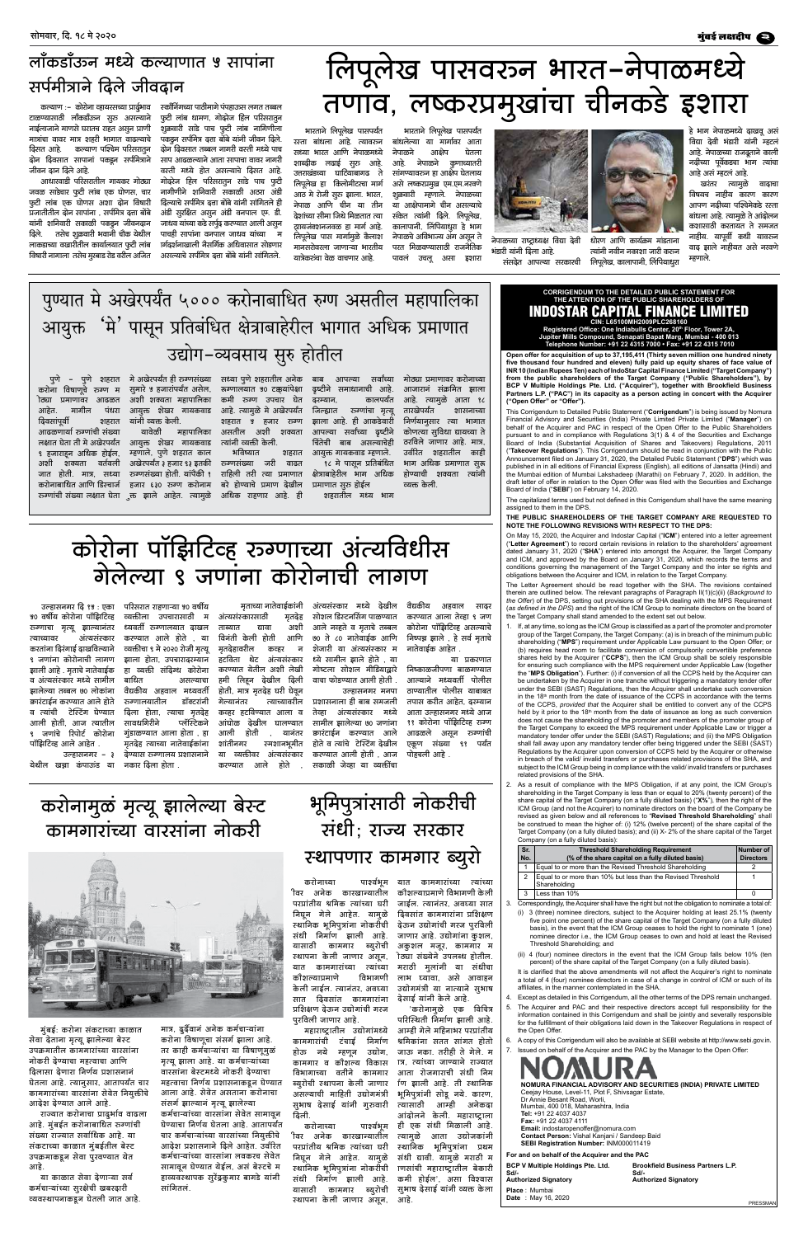# लॉकडॉउन्न मध्ये कल्याणात ५ सापांना सर्पमीत्राने दिले जीवदान

कल्याण :– कोरोना व्हायरसच्या प्रार्द्रुभाव टाळण्यासाठी लॉकडॉंउञ्न सूरू असल्याने नाईलाजाने माणसे घरातच राहत असून प्राणी मात्रांचा वावर मात्र शहरी भागात वाढल्याचे दिसत आहे. कल्याण पश्चिम परिसरातून दोन दिवसात सापानां पकडून सर्पमित्राने जीवन दान दिले आहे.

आधारवाडी परिसरातील गायकर गोठ्या जवळ साडेचार फुटी लांब एक घोणस, चार फुटी लांब एक घोणस अशा दोन विषारी प्रजातीतील दोन सापांना , सर्पमित्र दत्ता बोंबे यांनी शनिवारी सकाळी पकडून जीवनदान दिले. तसेच शूकवारी भवानी चौक येथील लाकडाच्या वखारीतील कार्यालयात फुटी लांब विषारी नागाला तसेच मुरबाड रोड वरील अजित स्कॉनिंगच्या पाठीमागे पंपहाउञ्स लगत तब्बल फूटी लांब धामण, गोदरेज हिल परिसरातून शुक्रवारी साडे पाच फुटी लांब नागिणीला पकडून सर्पमित्र दत्ता बोंबे यांनी जीवन दिले. दोन दिवसात तब्बल नागरी वस्ती मध्ये पाच साप आढळल्याने आता सापाचा वावर नागरी वरती मध्ये होत असल्याचे दिसत आहे. गोदरेज हिल परिसरातून साडे पाच फुटी नागीणीने शनिवारी सकाळी अठरा अंडी दिल्याचे सर्पमित्र दत्ता बोंबे यांनी सांगितले ही अंडी सूरक्षित असून अंडी वनपाल एम. डी. जाधव यांच्या कडे सर्पूद करण्यात आली असून पाचही सापांना वनपाल जाधव यांच्या स ार्गदर्शनाखाली नैसर्गिक अधिवासात सोडणार असल्याचे सर्पमित्र दत्ता बोंबे यांनी सांगितले.

# लिपूलेख पासवरून भारत–नेपाळमध्ये<br>तणाव, लष्करप्रमुखांचा चीनकडे इशारा

भारताने लिपूलेख पासपर्यंत रस्ता बांधला आहे. त्यावरञ्न सध्या भारत आणि नेपाळमध्ये शाब्दीक लढाई सुरू आहे. उत्तराखंडच्या घाटियाबागढ ते लिपुलेख हा किलोमीटरचा मार्ग आठ मे रोजी सूरू झाला. भारत, नेपाळ आणि चीन या तीन देशांच्या सीमा जिथे मिळतात त्या ट्रायजक्शनजवळ हा मार्ग आहे. लिपूलेख पास मार्गामुळे कैलाश मानसरोवरला जाणाऱ्या भारतीय यात्रेकरञ्चा वेळ वाचणार आहे.

भारताने लिपूलेख पासपर्यंत बांधलेल्या या मार्गावर आता नेपाळने आक्षेप घेतला आहे. नेपाळने कुणाच्यातरी सांगण्यावरून हा आक्षेप घेतलाय असे लष्करप्रमुख एम.एम.नरवणे शूकवारी म्हणाले. नेपाळच्या या आक्षेपामागे चीन असल्याचे संकेत त्यांनी दिले. लिपूलेख, कालापानी, लिंपियाधरा हे भाग नेपाळचे अविभाज्य अंग असून ते परत मिळवण्यासाठी राजनैतिक पावल उचलू असा इशारा



नेपाळच्या राष्ट्राध्यक्ष विद्या देवी भंडारी यांनी दिला आहे.

त्यांनी नवीन नकाशा जारी करञ्न लिपूलेख, कालापानी, लिंपियाधूरा संसदेत आपल्या सरकारची

हे भाग नेपाळमध्ये दाखवू असं विद्या देवी भंडारी यांनी म्हटल आहे. नेपाळच्या राजदूताने काली नदीच्या पूर्वेकडचा भाग त्यांचा आहे असं म्हटलं आहे.

खरंतर त्यामुळे वादाचा विषयच नाहीय कारण कारण आपण नदीच्या पश्चिमेकडे रस्ता बांधला आहे. त्यामूळे ते आंदोलन कशासाठी करतायत ते समजत नाहीय. यापूर्वी कधी यावरञ्न वाद झाले नाहीयत असे नरवणे म्हणाले.

# पुण्यात मे अखेरपर्यंत ५००० करोनाबाधित रुग्ण असतील महापालिका ंमे<sup>'</sup> पासून प्रतिबंधित क्षेत्राबाहेरील भागात अधिक प्रमाणात आयुक्त उद्योग-व्यवसाय सुरु होतील

करोना विषाणूचे रञ्ग्ण म ोठ्या प्रमाणावर आढळत पंधरा आहेत. मार्गील दिवसांपूर्वी शहरात आढळणार्या रूग्णांची संख्या लक्षात घेता ती मे अखेरपर्यंत ९ हजाराहुन अधिक होईल, अशी शक्यता वर्तवली जात होती. मात्र, सध्या रञ्ग्णांची संख्या लक्षात घेता ्रक्त झाले आहेत. त्यामूळे अधिक राहणार आहे. ही

सूमारे ५ हजारांपर्यंत असेल, रूग्णालयात ५० टक्कुयांपेक्षा दृष्टीने समाधानाची आहे. अशी शक्यता महापालिका आयुक्त शेखर गायकवाड आहे. त्यामूळे मे अखेरपर्यंत यांनी व्यक्त केली. यावेळी आयुक्त शेखर गायकवाड म्हणाले, पुणे शहरात काल अखेरपर्यंत ३ हजार ९३ इतकी रञ्णसंख्या जरी वाढत रञ्ग्णसंख्या होती. यांपैकी १ राहिली तरी त्या प्रमाणात करोनाबाधित आणि डिस्चार्ज हजार ६३० रूग्ण करोनाम बरे होण्याचे प्रमाण देखील

पुणे – पुणे शहरात में अखेरपर्यंत ही रञ्गसंख्या सध्या पुणे शहरातील अनेक बाब आपल्या सर्वांच्या मोठ्या प्रमाणावर करोनाच्या कमी रूग्ण उपचार घेत शहरात ५ हजार रञ्ग महापालिका असतील अशी शक्यता त्यांनी व्यक्ती केली. भविष्यात शहरात

कालपर्यंत दरम्यान, जिल्ह्यात रञ्गांचा मृत्यू झाला आहे. ही आकडेवारी आपल्या सर्वांच्या दृष्टीने चिंतेची बाब असल्याचेही आयुक्त गायकवाड म्हणाले. १८ मे पासून प्रतिबंधित क्षेत्राबाहेरील भाग अधिक प्रमाणात सुरू होईल शहरातील मध्य भाग

आजारानं संक्रमित झाला आहे. त्यामूळे आता १८ तारखेपर्यंत शासनाच्या निर्णयानुसार त्या भागात कोणत्या सुविधा द्यायच्या ते ठरविले जाणार आहे. मात्र उर्वरित शहरातील काही भाग अधिक प्रमाणात सूरू होण्याची शक्यता त्यांनी व्यक्त केली.

# कोरोना पॉझिटिव्ह रञ्गाच्या अंत्यविधीस गेलेल्या ९ जणांना कोरोनाची लागण

उल्हासनगर दि १५ : एका ५० वर्षीय कोरोना पॉझिटिव्ह रञ्गाचा मृत्यू झाल्यानंतर त्याच्यावर अंत्यसंस्कार करतांना दिरंगाई दाखविल्याने ९ जणांना कोरोनाची लागण झाली आहे . मृताचे नातेवाईक व अंत्यसंस्कार मध्ये सामील झालेल्या तब्बल ७० लोकांना क्वारंटाईन करण्यात आले होते व त्यांची टेस्टिंग घेण्यात आली होती, आज त्यातील

परिसरात राहणाऱ्या ४० वर्षीय अंत्यसंस्कारसाठी व्यक्तीला उपचारासाठी म ध्यवर्ती रूग्णालयात दाखल ताब्यात द्यावा करण्यात आले होते , या विनंती केली होती व्यक्तीचा ९ मे २०२० रोजी मृत्यू मृतदेहावरील झाला होता. उपचाराढरम्यान हा व्यक्ती संदिग्ध कोरोना बाधित असल्याचा वैद्यकीय अहवाल मध्यवर्ती रञ्गालयातील डॉक्टरांनी गेल्यानंतर दिला होता. त्याचा मतदेह सावधगिरीने प्लॅस्टिकने गुडाळण्यात आला होता , हा आली होती मृतदेह त्याच्या नातेवाईकांना शांतीनगर . उल्हासनगर – ३ देण्यास रूग्णालय प्रशासनाने या व्यक्तीवर अंत्यसंस्कार करण्यात आली होती , आज पोहचली आहे . आले होते करण्यात

मृताच्या नातेवाईकांनी अंत्यसंस्कार मध्ये देखील मृतदेह सोशल डिस्टनसिंग पाळण्यात आले नव्हते व मृताचे तब्बल अशी ७० ते ८० नातेवाईक आणि आणि कव्हर शेजारी या अंत्यसंस्कार म न हटविता थेट अंत्यसंस्कार ध्ये सामील झाले होते , या करण्यात येतील अशी लेखी गोष्टला सोशल मीडियाद्वारे हमी लिहून देखील दिली वाचा फोडण्यात आली होती . होती, मात्र मृतदेह घरी घेवून त्याच्यावरील प्रशासनाला ही बाब समजली कव्हर हटविण्यात आला व तेव्हा अंत्यसंस्कार मध्ये आंघोळ देखील घालण्यात सामील झालेल्या ७० जणांना

वैद्यकीय अहवाल सादर करण्यात आला तेव्हा ९ जण कोरोना पॉझिटिव्ह असल्याचे निष्पन्न झाले , हे सर्व मृताचे नातेवाईक आहेत .

या प्रकरणात निष्काळजीपणा बाळगण्यात आल्याने मध्यवर्ती पोलीस ठाण्यातील पोलीस याबाबत तपास करीत आहेत. ढरम्यान आता उल्हासनगर मध्ये आज ११ कोरोना पॉझिटिव्ह रञ्ग्ण

### **CORRIGENDUM TO THE DETAILED PUBLIC STATEMENT FOR** THE ATTENTION OF THE PUBLIC SHAREHOLDERS OF INDOSTAR CAPITAL FINANCE LIMITED

धोरण आणि कार्यक्रम मांडताना

CIN: L65100MH2009PLC268160<br>Registered Office: One Indiabulls Center, 20<sup>th</sup> Floor, Tower 2A,<br>Jupiter Mills Compound, Senapati Bapat Marg, Mumbai - 400 013<br>Telephone Number: +91 22 4315 7000 • Fax: +91 22 4315 7010

Open offer for acquisition of up to 37,195,411 (Thirty seven million one hundred ninety five thousand four hundred and eleven) fully paid up equity shares of face value of INR 10 (Indian Rupees Ten) each of IndoStar Capital Finance Limited ("Target Company") from the public shareholders of the Target Company ("Public Shareholders"), by BCP V Multiple Holdings Pte. Ltd. ("Acquirer"), together with Brookfield Business Partners L.P. ("PAC") in its capacity as a person acting in concert with the Acquirer ("Open Offer" or "Offer").

This Corrigendum to Detailed Public Statement ("Corrigendum") is being issued by Nomura Financial Advisory and Securities (India) Private Limited Private Limited ("Manager") on behalf of the Acquirer and PAC in respect of the Open Offer to the Public Shareholders pursuant to and in compliance with Regulations 3(1) & 4 of the Securities and Exchange Board of India (Substantial Acquisition of Shares and Takeovers) Regulations, 2011 ("Takeover Regulations"). This Corrigendum should be read in conjunction with the Public Announcement filed on January 31, 2020, the Detailed Public Statement ("DPS") which was published in in all editions of Financial Express (English), all editions of Jansatta (Hindi) and the Mumbai edition of Mumbai Lakshadeep (Marathi) on February 7, 2020. In addition, the draft letter of offer in relation to the Open Offer was filed with the Securities and Exchange Board of India ("SEBI") on February 14, 2020.

The capitalized terms used but not defined in this Corrigendum shall have the same meaning assigned to them in the DPS

THE PUBLIC SHAREHOLDERS OF THE TARGET COMPANY ARE REQUESTED TO NOTE THE FOLLOWING REVISIONS WITH RESPECT TO THE DPS:

On May 15, 2020, the Acquirer and Indostar Capital ("ICM") entered into a letter agreement ("Letter Agreement") to record certain revisions in relation to the shareholders' agreement dated January 31, 2020 ("SHA") entered into amongst the Acquirer, the Target Company and ICM, and approved by the Board on January 31, 2020, which records the terms and conditions governing the management of the Target Company and the inter se rights and obligations between the Acquirer and ICM, in relation to the Target Company.

The Letter Agreement should be read together with the SHA. The revisions contained therein are outlined below. The relevant paragraphs of Paragraph II(1)(c)(ii) (Background to the Offer) of the DPS, setting out provisions of the SHA dealing with the MPS Requirement (as defined in the DPS) and the right of the ICM Group to nominate directors on the board of the Target Company shall stand amended to the extent set out below.

1. If, at any time, so long as the ICM Group is classified as a part of the promoter and promoter group of the Target Company, the Target Company: (a) is in breach of the minimum public shareholding ("MPS") requirement under Applicable Law pursuant to the Open Offer; or (b) requires head room to facilitate conversion of compulsorily convertible preference shares held by the Acquirer ("CCPS"), then the ICM Group shall be solely responsible for ensuring such compliance with the MPS requirement under Applicable Law (together the "MPS Obligation"). Further: (i) if conversion of all the CCPS held by the Acquirer can be undertaken by the Acquirer in one tranche without triggering a mandatory tender offer under the SEBI (SAST) Regulations, then the Acquirer shall undertake such conversion in the 18<sup>th</sup> month from the date of issuance of the CCPS in accordance with the terms of the CCPS, provided that the Acquirer shall be entitled to convert any of the CCPS held by it prior to the 18<sup>th</sup> month from the date of issuance as long as such conversion does not cause the shareholding of the promoter and members of the promoter group of the Target Company to exceed the MPS requirement under Applicable Law or trigger a

जणाचे रिपोर्ट कोरोना पॉझिटिव्ह आले आहेत

येथील खन्ना कंपाऊंड या नकार-दिला-होता .

यानतर क्वारटाइन करण्यात आल आढळल असून रञ्ज्णाची स्मशानभूमीत होते व त्यांचे टेस्टिंग देखील एकूण संख्या ९१ पर्यंत सकाळी जेव्हा या व्यक्तींचा

उल्हासनगर मनपा

mandatory tender offer under the SEBI (SAST) Regulations; and (ii) the MPS Obligation shall fall away upon any mandatory tender offer being triggered under the SEBI (SAST) Regulations by the Acquirer upon conversion of CCPS held by the Acquirer or otherwise in breach of the valid/ invalid transfers or purchases related provisions of the SHA, and subject to the ICM Group being in compliance with the valid/ invalid transfers or purchases related provisions of the SHA.

As a result of compliance with the MPS Obligation, if at any point, the ICM Group's  $2.$ shareholding in the Target Company is less than or equal to 20% (twenty percent) of the share capital of the Target Company (on a fully diluted basis) ("X%"), then the right of the ICM Group (and not the Acquirer) to nominate directors on the board of the Company be revised as given below and all references to "Revised Threshold Shareholding" shall be construed to mean the higher of: (i) 12% (twelve percent) of the share capital of the Target Company (on a fully diluted basis); and (ii) X- 2% of the share capital of the Target Company (on a fully diluted basis):

| Sr.<br>No. | <b>Threshold Shareholding Requirement</b><br>(% of the share capital on a fully diluted basis) | <b>Number of</b><br><b>Directors</b> |
|------------|------------------------------------------------------------------------------------------------|--------------------------------------|
|            | Equal to or more than the Revised Threshold Shareholding                                       |                                      |
| 2          | Equal to or more than 10% but less than the Revised Threshold<br>Shareholding                  |                                      |
| 3          | Less than 10%                                                                                  |                                      |

3. Correspondingly, the Acquirer shall have the right but not the obligation to nominate a total of:

- (i) 3 (three) nominee directors, subject to the Acquirer holding at least 25.1% (twenty five point one percent) of the share capital of the Target Company (on a fully diluted basis), in the event that the ICM Group ceases to hold the right to nominate 1 (one) nominee director i.e., the ICM Group ceases to own and hold at least the Revised Threshold Shareholding; and
- (ii) 4 (four) nominee directors in the event that the ICM Group falls below 10% (ten percent) of the share capital of the Target Company (on a fully diluted basis).

It is clarified that the above amendments will not affect the Acquirer's right to nominate a total of 4 (four) nominee directors in case of a change in control of ICM or such of its affiliates, in the manner contemplated in the SHA.

- 4. Except as detailed in this Corrigendum, all the other terms of the DPS remain unchanged.
- 5. The Acquirer and PAC and their respective directors accept full responsibility for the information contained in this Corrigendum and shall be jointly and severally responsible for the fulfillment of their obligations laid down in the Takeover Regulations in respect of the Open Offer
- 6. A copy of this Corrigendum will also be available at SEBI website at http://www.sebi.gov.in.
- 7. Issued on behalf of the Acquirer and the PAC by the Manager to the Open Offer:

NOMURA FINANCIAL ADVISORY AND SECURITIES (INDIA) PRIVATE LIMITED Ceejay House, Level-11, Plot F, Shivsagar Estate, Dr Annie Besant Road, Worli. Mumbai, 400 018, Maharashtra, India Tel: +91 22 4037 4037 Fax: +91 22 4037 4111 Email: indostaropenoffer@nomura.com Contact Person: Vishal Kanjani / Sandeep Baid SEBI Registration Number: INM000011419 For and on behalf of the Acquirer and the PAC

| <b>BCP V Multiple Holdings Pte. Ltd.</b><br>$Sd$ .<br><b>Authorized Signatory</b> | <b>Brookfield Business Partners L.P.</b><br>Sd/-<br><b>Authorized Signatory</b> |
|-----------------------------------------------------------------------------------|---------------------------------------------------------------------------------|
| <b>Place: Mumbai</b><br>Date: May 16, 2020                                        | <b>DD</b>                                                                       |

करोनामुळं मृत्यू झालेल्या बेस्ट कामगारांच्या वारसांना नोकरी



मुंबई: करोना संकटाच्या काळात सेवा देताना मृत्यू झालेल्या बेस्ट उपक्रमातील कामगारांच्या वारसांना नोकरी देण्याचा महत्वाचा आणि दिलासा देणारा निर्णय प्रशासनानं घेतला आहे. त्यानुसार, आतापर्यंत चार कामगारांच्या वारसांना सेवेत नियुक्तीचे आदेश देण्यात आले आहे.

राज्यात करोनाचा प्रादुर्भाव वाढला आहे. मुंबईत करोनाबाधित रुग्णांची संख्या राज्यात सर्वाधिक आहे. या संकटाच्या काळात मुंबईतील बेस्ट उपक्रमाकडून सेवा पुरवण्यात येत आहे.

या काळात सेवा देणाऱ्या सर्व कर्मचाऱ्यांच्या सुरक्षेची खबरदारी व्यवस्थापनाकडून घेतली जात आहे. मात्र, दुर्दैवानं अनेक कर्मचाऱ्यांना करोना विषाणूचा संसर्ग झाला आहे. तर काही कर्मचाऱ्यांचा या विषाणूमुळ मृत्यू झाला आहे. या कर्मचाऱ्यांच्या वारसांना बेस्टमध्ये नोकरी देण्याचा महत्वाचा निर्णय प्रशासनाकडून घेण्यात आला आहे. सेवेत असताना करोनाचा संसर्ग झाल्यानं मृत्यू झालेल्या कर्मचाऱ्यांच्या वारसांना सेवेत सामावून घेण्याचा निर्णय घेतला आहे. आतापर्यंत चार कर्मचाऱ्यांच्या वारसांच्या नियुक्तीचे आदेश प्रशासनाने दिले आहेत. उर्वरित कर्मचाऱ्यांच्या वारसांना लवकरच सेवेत सामावून घेण्यात येईल, असं बेस्टचे म हाव्यवस्थापक सुरेंद्रकुमार बागडे यांनी सांगितल.

भूमिपुत्रांसाठी नोकरीची संधी; राज्य सरकार स्थापणार कामगार ब्यूरो

पार्श्वभूम यात कामगारांच्या त्यांच्या करोनाच्या ीवर अनेक कारखान्यातील परप्रांतीय श्रमिक त्यांच्या घरी निघून गेले आहेत. यामुळे स्थानिक भूमिपुत्रांना नोकरीची संधी निर्माण झाली आहे. यासाठी कामगार ब्युरोची स्थापना केली जाणार असून, यात कामगारांच्या त्यांच्या कौशल्याप्रमाणे विभागणी केली जाईल. त्यानंतर, अवघ्या सात दिवसांत कामगारांना प्रशिक्षण देऊन उद्योगांची गरज पुरविली जाणार आहे.

महाराष्ट्रातील उद्योगांमध्ये कामगारांची टंचाई निर्माण नये म्हणून उद्योग, होऊ कामगार व कौशल्य विकास विभागाच्या वतीने कामगार ब्युरोची स्थापना केली जाणार असल्याची माहिती उद्योगमंत्री सुभाष देसाई यांनी गुरुवारी द्विली.

करोनाच्या पार्श्वभूम ीवर अनेक कारखान्यातील परप्रांतीय श्रमिक त्यांच्या घरी निघून गेले आहेत. यामुळे स्थानिक भूमिपुत्रांना नोकरीची संधी निर्माण झाली आहे. यासाठी कामगार ब्यूरोची स्थापना केली जाणार असून,

दिवसांत कामगारांना प्रशिक्षण देऊन उद्योगांची गरज पूरविली जाणार आहे. उद्योगांना कुशल, अकुशल मजूर, कामगार म ोठ्या संख्येने उपलब्ध होतील. मराठी मुलांनी या संधीचा लाभ घ्यावा, असे आवाहन उद्योगमंत्री या नात्याने सुभाष देसाई यांनी केले आहे. 'करोनामुळे एक विचित्र परिस्थिती निर्माण झाली आहे. आम्ही गेले महिनाभर परप्रांतीय श्रमिकांना सतत सांगत होतो जाऊ नका. तरीही ते गेले. म ात्र, त्यांच्या जाण्याने राज्यात

कौशल्याप्रमाणे विभागणी केली

जाईल. त्यानंतर. अवघ्या सात

आता रोजगाराची संधी निम णि झाली आहे. ती स्थानिक भूमिपुत्रांनी सोडू नये. कारण, त्यासाठी आम्ही अनेकदा आंदोलने केली. महाराष्ट्राला ही एक संधी मिळाली आहे. त्यामुळे आता उद्योजकांनी स्थानिक भूमिपुत्रांना प्रथम संधी द्यावी. यामुळे मराठी म ाणसांची महाराष्ट्रातील बेकारी कमी होईल', असा विश्वास सूभाष देसाई यांनी व्यक्त केला

आहे.